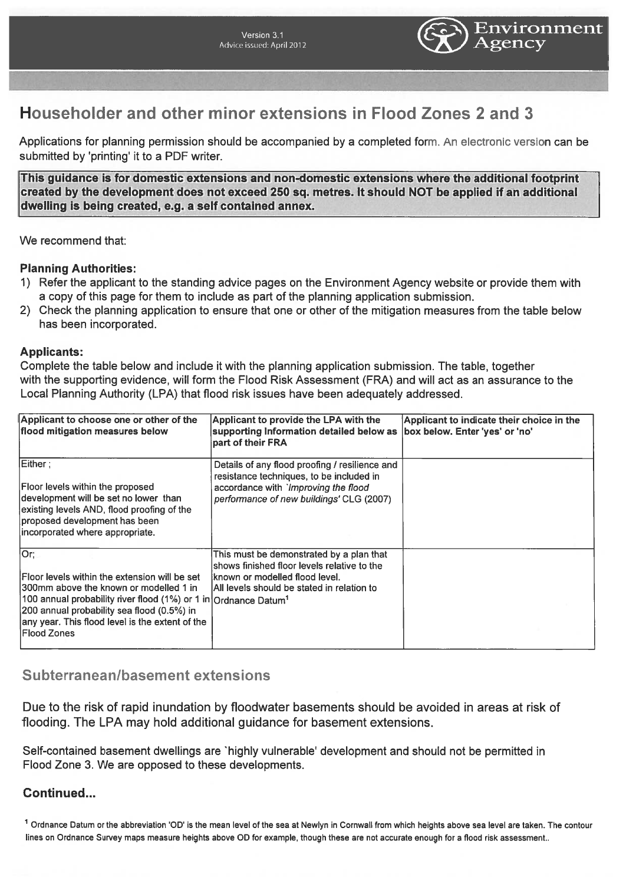

# Householder and other minor extensions in Flood Zones 2 and 3

Applications for planning permission should be accompanied by <sup>a</sup> completed form. An electronic version can be submitted by 'printing' it to <sup>a</sup> PDF writer.

This guidance is for domestic extensions and non-domestic extensions where the additional footprint created by the development does not exceed 250 sq. metres. It should NOT be applied if an additional dwelling is being created, e.g. <sup>a</sup> self contained annex.

We recommend that:

#### Planning Authorities:

- 1) Refer the applicant to the standing advice pages on the Environment Agency website or provide them with <sup>a</sup> copy of this page for them to include as par<sup>t</sup> of the planning application submission.
- 2) Check the planning application to ensure that one or other of the mitigation measures from the table below has been incorporated.

#### Applicants:

Complete the table below and include it with the planning application submission. The table, together with the supporting evidence, will form the Flood Risk Assessment (FRA) and will act as an assurance to the Local Planning Authority (LPA) that flood risk issues have been adequately addressed.

| Applicant to choose one or other of the<br>flood mitigation measures below                                                                                                                                                                                                                              | Applicant to provide the LPA with the<br>supporting Information detailed below as<br>part of their FRA                                                                         | Applicant to indicate their choice in the<br>box below. Enter 'yes' or 'no' |
|---------------------------------------------------------------------------------------------------------------------------------------------------------------------------------------------------------------------------------------------------------------------------------------------------------|--------------------------------------------------------------------------------------------------------------------------------------------------------------------------------|-----------------------------------------------------------------------------|
| Either;<br>Floor levels within the proposed<br>development will be set no lower than<br>existing levels AND, flood proofing of the<br>proposed development has been<br>incorporated where appropriate.                                                                                                  | Details of any flood proofing / resilience and<br>resistance techniques, to be included in<br>accordance with 'Improving the flood<br>performance of new buildings' CLG (2007) |                                                                             |
| lOr;<br>lFloor levels within the extension will be set<br>300mm above the known or modelled 1 in<br>100 annual probability river flood (1%) or 1 in Ordnance Datum <sup>1</sup><br>200 annual probability sea flood (0.5%) in<br>any year. This flood level is the extent of the<br><b>IFlood Zones</b> | This must be demonstrated by a plan that<br>shows finished floor levels relative to the<br>Iknown or modelled flood level.<br>IAII levels should be stated in relation to      |                                                                             |

## Subterranean/basement extensions

Due to the risk of rapid inundation by floodwater basements should be avoided in areas at risk of flooding. The LPA may hold additional guidance for basement extensions.

Self-contained basement dwellings are 'highly vulnerable' development and should not be permitted in Flood Zone 3. We are opposed to these developments.

### Continued...

<sup>1</sup> Ordnance Datum or the abbreviation 'OD' is the mean level of the sea at Newlyn in Cornwall from which heights above sea level are taken. The contour lines on Ordnance Survey maps measure heights above OD for example, though these are not accurate enough for <sup>a</sup> flood risk assessment..